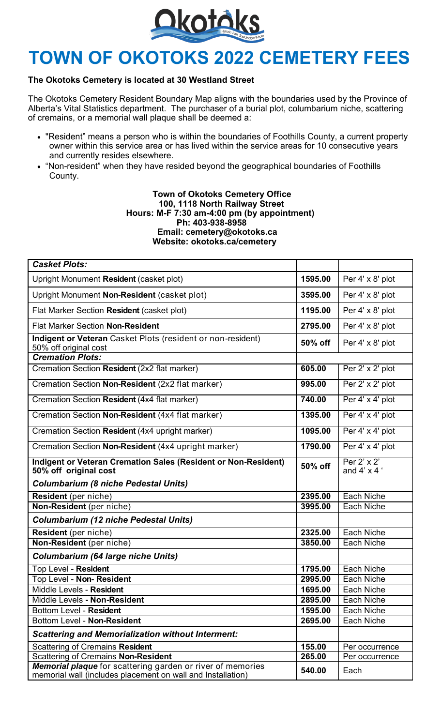

## **TOWN OF OKOTOKS 2022 CEMETERY FEES**

## **The Okotoks Cemetery is located at 30 Westland Street**

The Okotoks Cemetery Resident Boundary Map aligns with the boundaries used by the Province of Alberta's Vital Statistics department. The purchaser of a burial plot, columbarium niche, scattering of cremains, or a memorial wall plaque shall be deemed a:

- "Resident" means a person who is within the boundaries of Foothills County, a current property owner within this service area or has lived within the service areas for 10 consecutive years and currently resides elsewhere.
- "Non-resident" when they have resided beyond the geographical boundaries of Foothills County.

## **Town of Okotoks Cemetery Office 100, 1118 North Railway Street Hours: M-F 7:30 am-4:00 pm (by appointment) Ph: 403-938-8958 Email: cemetery@okotoks.ca Website: okotoks.ca/cemetery**

| <b>Casket Plots:</b>                                                                                                      |         |                                   |
|---------------------------------------------------------------------------------------------------------------------------|---------|-----------------------------------|
| Upright Monument Resident (casket plot)                                                                                   | 1595.00 | Per 4' x 8' plot                  |
| Upright Monument Non-Resident (casket plot)                                                                               | 3595.00 | Per 4' x 8' plot                  |
| Flat Marker Section Resident (casket plot)                                                                                | 1195.00 | Per 4' x 8' plot                  |
| <b>Flat Marker Section Non-Resident</b>                                                                                   | 2795.00 | Per 4' x 8' plot                  |
| Indigent or Veteran Casket Plots (resident or non-resident)<br>50% off original cost                                      | 50% off | Per 4' x 8' plot                  |
| <b>Cremation Plots:</b>                                                                                                   |         |                                   |
| Cremation Section Resident (2x2 flat marker)                                                                              | 605.00  | Per 2' x 2' plot                  |
| Cremation Section Non-Resident (2x2 flat marker)                                                                          | 995.00  | Per 2' x 2' plot                  |
| Cremation Section Resident (4x4 flat marker)                                                                              | 740.00  | Per 4' x 4' plot                  |
| Cremation Section Non-Resident (4x4 flat marker)                                                                          | 1395.00 | Per 4' x 4' plot                  |
| Cremation Section Resident (4x4 upright marker)                                                                           | 1095.00 | Per 4' x 4' plot                  |
| Cremation Section Non-Resident (4x4 upright marker)                                                                       | 1790.00 | Per 4' x 4' plot                  |
| Indigent or Veteran Cremation Sales (Resident or Non-Resident)<br>50% off original cost                                   | 50% off | Per 2' x 2'<br>and $4' \times 4'$ |
| <b>Columbarium (8 niche Pedestal Units)</b>                                                                               |         |                                   |
| Resident (per niche)                                                                                                      | 2395.00 | Each Niche                        |
| Non-Resident (per niche)                                                                                                  | 3995.00 | Each Niche                        |
| <b>Columbarium (12 niche Pedestal Units)</b>                                                                              |         |                                   |
| Resident (per niche)                                                                                                      | 2325.00 | Each Niche                        |
| Non-Resident (per niche)                                                                                                  | 3850.00 | Each Niche                        |
| <b>Columbarium (64 large niche Units)</b>                                                                                 |         |                                   |
| Top Level - Resident                                                                                                      | 1795.00 | Each Niche                        |
| Top Level - Non- Resident                                                                                                 | 2995.00 | Each Niche                        |
| Middle Levels - Resident                                                                                                  | 1695.00 | Each Niche                        |
| Middle Levels - Non-Resident                                                                                              | 2895.00 | Each Niche                        |
| <b>Bottom Level - Resident</b>                                                                                            | 1595.00 | Each Niche                        |
| Bottom Level - Non-Resident                                                                                               | 2695.00 | Each Niche                        |
| <b>Scattering and Memorialization without Interment:</b>                                                                  |         |                                   |
| <b>Scattering of Cremains Resident</b>                                                                                    | 155.00  | Per occurrence                    |
| <b>Scattering of Cremains Non-Resident</b>                                                                                | 265.00  | Per occurrence                    |
| Memorial plaque for scattering garden or river of memories<br>memorial wall (includes placement on wall and Installation) | 540.00  | Each                              |